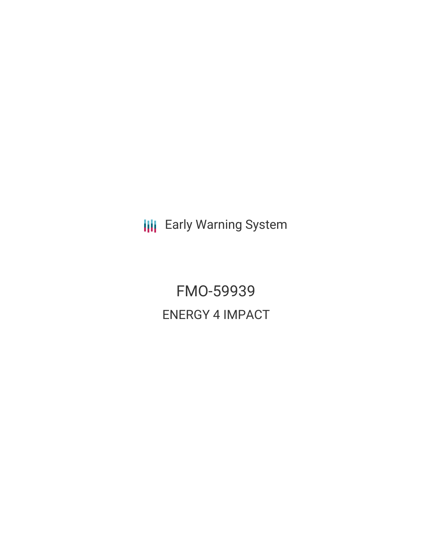**III** Early Warning System

FMO-59939 ENERGY 4 IMPACT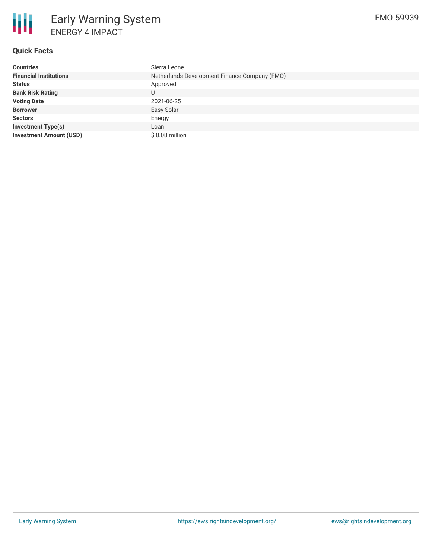

## **Quick Facts**

| <b>Countries</b>               | Sierra Leone                                  |  |  |  |
|--------------------------------|-----------------------------------------------|--|--|--|
| <b>Financial Institutions</b>  | Netherlands Development Finance Company (FMO) |  |  |  |
| <b>Status</b>                  | Approved                                      |  |  |  |
| <b>Bank Risk Rating</b>        |                                               |  |  |  |
| <b>Voting Date</b>             | 2021-06-25                                    |  |  |  |
| <b>Borrower</b>                | Easy Solar                                    |  |  |  |
| <b>Sectors</b>                 | Energy                                        |  |  |  |
| <b>Investment Type(s)</b>      | Loan                                          |  |  |  |
| <b>Investment Amount (USD)</b> | $$0.08$ million                               |  |  |  |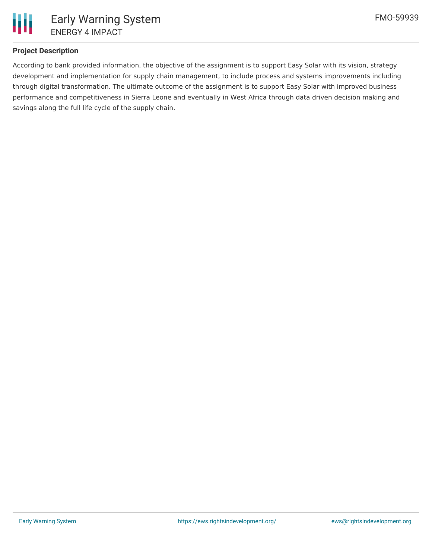

# **Project Description**

According to bank provided information, the objective of the assignment is to support Easy Solar with its vision, strategy development and implementation for supply chain management, to include process and systems improvements including through digital transformation. The ultimate outcome of the assignment is to support Easy Solar with improved business performance and competitiveness in Sierra Leone and eventually in West Africa through data driven decision making and savings along the full life cycle of the supply chain.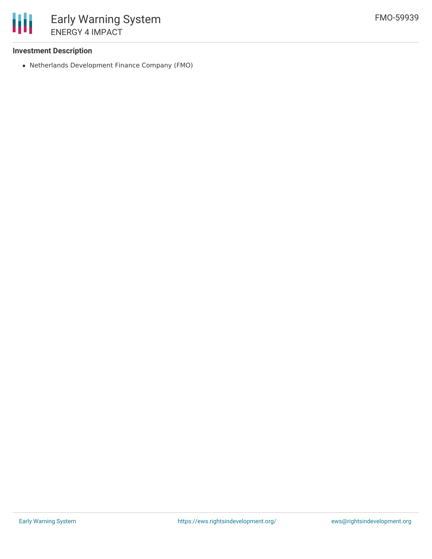

### **Investment Description**

Netherlands Development Finance Company (FMO)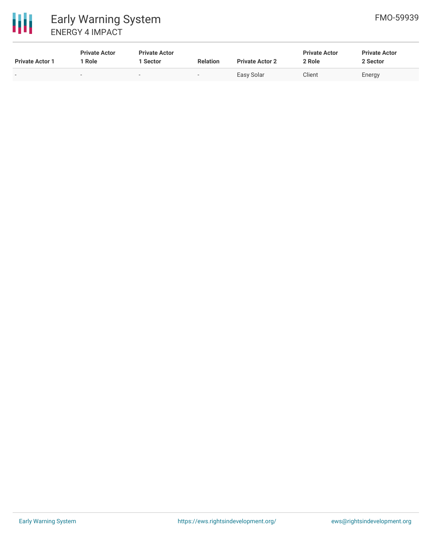

| <b>Private Actor 1</b>   | <b>Private Actor</b><br>Role | <b>Private Actor</b><br>Sector | <b>Relation</b>          | <b>Private Actor 2</b> | <b>Private Actor</b><br>2 Role | <b>Private Actor</b><br>2 Sector |
|--------------------------|------------------------------|--------------------------------|--------------------------|------------------------|--------------------------------|----------------------------------|
| $\overline{\phantom{0}}$ | $\overline{\phantom{0}}$     | $\sim$                         | $\overline{\phantom{a}}$ | Easy Solar             | Client                         | Energy                           |